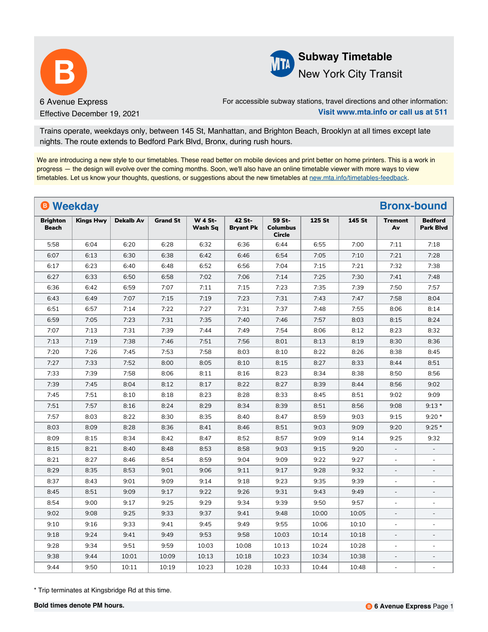



For accessible subway stations, travel directions and other information: **Visit www.mta.info or call us at 511**

Trains operate, weekdays only, between 145 St, Manhattan, and Brighton Beach, Brooklyn at all times except late nights. The route extends to Bedford Park Blvd, Bronx, during rush hours.

We are introducing a new style to our timetables. These read better on mobile devices and print better on home printers. This is a work in progress — the design will evolve over the coming months. Soon, we'll also have an online timetable viewer with more ways to view timetables. Let us know your thoughts, questions, or suggestions about the new timetables at [new.mta.info/timetables-feedback](https://new.mta.info/timetables-feedback).

| <b>B</b> Weekday                |                  |                  |                 |                           |                            |                                            |        |        | <b>Bronx-bound</b>       |                                    |
|---------------------------------|------------------|------------------|-----------------|---------------------------|----------------------------|--------------------------------------------|--------|--------|--------------------------|------------------------------------|
| <b>Brighton</b><br><b>Beach</b> | <b>Kings Hwy</b> | <b>Dekalb Av</b> | <b>Grand St</b> | <b>W 4 St-</b><br>Wash Sq | 42 St-<br><b>Bryant Pk</b> | 59 St-<br><b>Columbus</b><br><b>Circle</b> | 125 St | 145 St | <b>Tremont</b><br>Av     | <b>Bedford</b><br><b>Park Blvd</b> |
| 5:58                            | 6:04             | 6:20             | 6:28            | 6:32                      | 6:36                       | 6:44                                       | 6:55   | 7:00   | 7:11                     | 7:18                               |
| 6:07                            | 6:13             | 6:30             | 6:38            | 6:42                      | 6:46                       | 6:54                                       | 7:05   | 7:10   | 7:21                     | 7:28                               |
| 6:17                            | 6:23             | 6:40             | 6:48            | 6:52                      | 6:56                       | 7:04                                       | 7:15   | 7:21   | 7:32                     | 7:38                               |
| 6:27                            | 6:33             | 6:50             | 6:58            | 7:02                      | 7:06                       | 7:14                                       | 7:25   | 7:30   | 7:41                     | 7:48                               |
| 6:36                            | 6:42             | 6:59             | 7:07            | 7:11                      | 7:15                       | 7:23                                       | 7:35   | 7:39   | 7:50                     | 7:57                               |
| 6:43                            | 6:49             | 7:07             | 7:15            | 7:19                      | 7:23                       | 7:31                                       | 7:43   | 7:47   | 7:58                     | 8:04                               |
| 6:51                            | 6:57             | 7:14             | 7:22            | 7:27                      | 7:31                       | 7:37                                       | 7:48   | 7:55   | 8:06                     | 8:14                               |
| 6:59                            | 7:05             | 7:23             | 7:31            | 7:35                      | 7:40                       | 7:46                                       | 7:57   | 8:03   | 8:15                     | 8:24                               |
| 7:07                            | 7:13             | 7:31             | 7:39            | 7:44                      | 7:49                       | 7:54                                       | 8:06   | 8:12   | 8:23                     | 8:32                               |
| 7:13                            | 7:19             | 7:38             | 7:46            | 7:51                      | 7:56                       | 8:01                                       | 8:13   | 8:19   | 8:30                     | 8:36                               |
| 7:20                            | 7:26             | 7:45             | 7:53            | 7:58                      | 8:03                       | 8:10                                       | 8:22   | 8:26   | 8:38                     | 8:45                               |
| 7:27                            | 7:33             | 7:52             | 8:00            | 8:05                      | 8:10                       | 8:15                                       | 8:27   | 8:33   | 8:44                     | 8:51                               |
| 7:33                            | 7:39             | 7:58             | 8:06            | 8:11                      | 8:16                       | 8:23                                       | 8:34   | 8:38   | 8:50                     | 8:56                               |
| 7:39                            | 7:45             | 8:04             | 8:12            | 8:17                      | 8:22                       | 8:27                                       | 8:39   | 8:44   | 8:56                     | 9:02                               |
| 7:45                            | 7:51             | 8:10             | 8:18            | 8:23                      | 8:28                       | 8:33                                       | 8:45   | 8:51   | 9:02                     | 9:09                               |
| 7:51                            | 7:57             | 8:16             | 8:24            | 8:29                      | 8:34                       | 8:39                                       | 8:51   | 8:56   | 9:08                     | $9:13*$                            |
| 7:57                            | 8:03             | 8:22             | 8:30            | 8:35                      | 8:40                       | 8:47                                       | 8:59   | 9:03   | 9:15                     | $9:20*$                            |
| 8:03                            | 8:09             | 8:28             | 8:36            | 8:41                      | 8:46                       | 8:51                                       | 9:03   | 9:09   | 9:20                     | $9:25*$                            |
| 8:09                            | 8:15             | 8:34             | 8:42            | 8:47                      | 8:52                       | 8:57                                       | 9:09   | 9:14   | 9:25                     | 9:32                               |
| 8:15                            | 8:21             | 8:40             | 8:48            | 8:53                      | 8:58                       | 9:03                                       | 9:15   | 9:20   | $\overline{\phantom{a}}$ |                                    |
| 8:21                            | 8:27             | 8:46             | 8:54            | 8:59                      | 9:04                       | 9:09                                       | 9:22   | 9:27   | $\Box$                   | $\blacksquare$                     |
| 8:29                            | 8:35             | 8:53             | 9:01            | 9:06                      | 9:11                       | 9:17                                       | 9:28   | 9:32   | ÷,                       | $\overline{a}$                     |
| 8:37                            | 8:43             | 9:01             | 9:09            | 9:14                      | 9:18                       | 9:23                                       | 9:35   | 9:39   | $\sim$                   | L,                                 |
| 8:45                            | 8:51             | 9:09             | 9:17            | 9:22                      | 9:26                       | 9:31                                       | 9:43   | 9:49   | $\overline{\phantom{a}}$ | $\overline{a}$                     |
| 8:54                            | 9:00             | 9:17             | 9:25            | 9:29                      | 9:34                       | 9:39                                       | 9:50   | 9:57   | $\overline{\phantom{a}}$ | $\blacksquare$                     |
| 9:02                            | 9:08             | 9:25             | 9:33            | 9:37                      | 9:41                       | 9:48                                       | 10:00  | 10:05  | $\sim$                   | $\blacksquare$                     |
| 9:10                            | 9:16             | 9:33             | 9:41            | 9:45                      | 9:49                       | 9:55                                       | 10:06  | 10:10  | $\bar{\phantom{a}}$      |                                    |
| 9:18                            | 9:24             | 9:41             | 9:49            | 9:53                      | 9:58                       | 10:03                                      | 10:14  | 10:18  | $\overline{\phantom{a}}$ | $\overline{\phantom{a}}$           |
| 9:28                            | 9:34             | 9:51             | 9:59            | 10:03                     | 10:08                      | 10:13                                      | 10:24  | 10:28  | $\blacksquare$           |                                    |
| 9:38                            | 9:44             | 10:01            | 10:09           | 10:13                     | 10:18                      | 10:23                                      | 10:34  | 10:38  | $\overline{a}$           |                                    |
| 9:44                            | 9:50             | 10:11            | 10:19           | 10:23                     | 10:28                      | 10:33                                      | 10:44  | 10:48  | $\sim$                   | $\blacksquare$                     |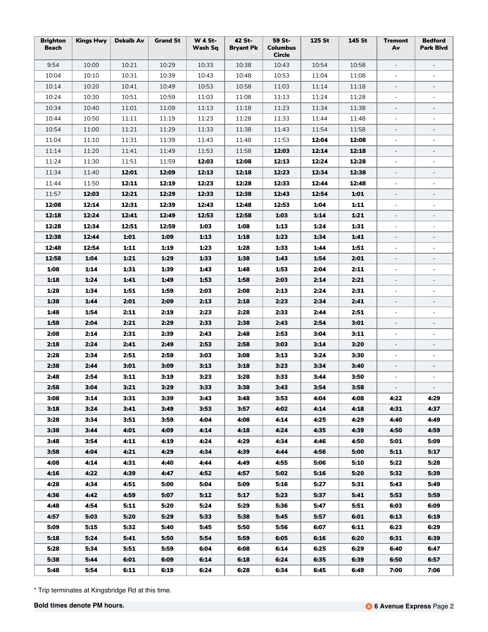| <b>Brighton</b><br><b>Beach</b> | <b>Kings Hwy</b> | <b>Dekalb Av</b> | <b>Grand St</b> | <b>W 4 St-</b><br>Wash Sq | 42 St-<br><b>Bryant Pk</b> | 59 St-<br><b>Columbus</b><br>Circle | 125 St | 145 St | <b>Tremont</b><br>Av     | <b>Bedford</b><br>Park Blvd |
|---------------------------------|------------------|------------------|-----------------|---------------------------|----------------------------|-------------------------------------|--------|--------|--------------------------|-----------------------------|
| 9:54                            | 10:00            | 10:21            | 10:29           | 10:33                     | 10:38                      | 10:43                               | 10:54  | 10:58  | $\overline{\phantom{a}}$ | $\overline{\phantom{a}}$    |
| 10:04                           | 10:10            | 10:31            | 10:39           | 10:43                     | 10:48                      | 10:53                               | 11:04  | 11:08  | $\equiv$                 | $\overline{a}$              |
| 10:14                           | 10:20            | 10:41            | 10:49           | 10:53                     | 10:58                      | 11:03                               | 11:14  | 11:18  | $\overline{\phantom{a}}$ | $\qquad \qquad -$           |
| 10:24                           | 10:30            | 10:51            | 10:59           | 11:03                     | 11:08                      | 11:13                               | 11:24  | 11:28  | $\blacksquare$           | $\blacksquare$              |
| 10:34                           | 10:40            | 11:01            | 11:09           | 11:13                     | 11:18                      | 11:23                               | 11:34  | 11:38  | $\overline{\phantom{a}}$ | $\overline{\phantom{a}}$    |
| 10:44                           | 10:50            | 11:11            | 11:19           | 11:23                     | 11:28                      | 11:33                               | 11:44  | 11:48  | $\bar{\phantom{a}}$      | $\blacksquare$              |
| 10:54                           | 11:00            | 11:21            | 11:29           | 11:33                     | 11:38                      | 11:43                               | 11:54  | 11:58  | $\overline{\phantom{a}}$ | $\qquad \qquad -$           |
| 11:04                           | 11:10            | 11:31            | 11:39           | 11:43                     | 11:48                      | 11:53                               | 12:04  | 12:08  | $\blacksquare$           | $\blacksquare$              |
| 11:14                           | 11:20            | 11:41            | 11:49           | 11:53                     | 11:58                      | 12:03                               | 12:14  | 12:18  | $\overline{\phantom{a}}$ | $\qquad \qquad -$           |
| 11:24                           | 11:30            | 11:51            | 11:59           | 12:03                     | 12:08                      | 12:13                               | 12:24  | 12:28  | $\blacksquare$           | $\blacksquare$              |
| 11:34                           | 11:40            | 12:01            | 12:09           | 12:13                     | 12:18                      | 12:23                               | 12:34  | 12:38  | $\overline{\phantom{a}}$ | $\qquad \qquad -$           |
| 11:44                           | 11:50            | 12:11            | 12:19           | 12:23                     | 12:28                      | 12:33                               | 12:44  | 12:48  | $\blacksquare$           | $\blacksquare$              |
| 11:57                           | 12:03            | 12:21            | 12:29           | 12:33                     | 12:38                      | 12:43                               | 12:54  | 1:01   | $\overline{\phantom{a}}$ | $\overline{\phantom{m}}$    |
| 12:08                           | 12:14            | 12:31            | 12:39           | 12:43                     | 12:48                      | 12:53                               | 1:04   | 1:11   | $\blacksquare$           | $\blacksquare$              |
| 12:18                           | 12:24            | 12:41            | 12:49           | 12:53                     | 12:58                      | 1:03                                | 1:14   | 1:21   |                          |                             |
| 12:28                           | 12:34            | 12:51            | 12:59           | 1:03                      | 1:08                       | 1:13                                | 1:24   | 1:31   | $\overline{a}$           | $\blacksquare$              |
| 12:38                           | 12:44            | 1:01             | 1:09            | 1:13                      | 1:18                       | 1:23                                | 1:34   | 1:41   | $\overline{\phantom{a}}$ | $\overline{\phantom{m}}$    |
| 12:48                           | 12:54            | 1:11             | 1:19            | 1:23                      | 1:28                       | 1:33                                | 1:44   | 1:51   | $\bar{\phantom{a}}$      | $\blacksquare$              |
| 12:58                           | 1:04             | 1:21             | 1:29            | 1:33                      | 1:38                       | 1:43                                | 1:54   | 2:01   | $\overline{\phantom{a}}$ |                             |
| 1:08                            | 1:14             | 1:31             | 1:39            | 1:43                      | 1:48                       | 1:53                                | 2:04   | 2:11   | $\overline{\phantom{a}}$ | ÷,                          |
| 1:18                            | 1:24             | 1:41             | 1:49            | 1:53                      | 1:58                       | 2:03                                | 2:14   | 2:21   | $\overline{\phantom{a}}$ | $\overline{\phantom{a}}$    |
| 1:28                            | 1:34             | 1:51             | 1:59            | 2:03                      | 2:08                       | 2:13                                | 2:24   | 2:31   | $\blacksquare$           | $\blacksquare$              |
| 1:38                            | 1:44             | 2:01             | 2:09            | 2:13                      | 2:18                       | 2:23                                | 2:34   | 2:41   | $\overline{\phantom{a}}$ |                             |
| 1:48                            | 1:54             | 2:11             | 2:19            | 2:23                      | 2:28                       | 2:33                                | 2:44   | 2:51   | $\overline{\phantom{a}}$ | ÷,                          |
| 1:58                            | 2:04             | 2:21             | 2:29            | 2:33                      | 2:38                       | 2:43                                | 2:54   | 3:01   | $\overline{\phantom{a}}$ | $\overline{\phantom{a}}$    |
| 2:08                            | 2:14             | 2:31             | 2:39            | 2:43                      | 2:48                       | 2:53                                | 3:04   | 3:11   | $\blacksquare$           | $\blacksquare$              |
| 2:18                            | 2:24             | 2:41             | 2:49            | 2:53                      | 2:58                       | 3:03                                | 3:14   | 3:20   | $\overline{\phantom{a}}$ | $\overline{\phantom{a}}$    |
| 2:28                            | 2:34             | 2:51             | 2:59            | 3:03                      | 3:08                       | 3:13                                | 3:24   | 3:30   | $\overline{\phantom{a}}$ | $\overline{\phantom{a}}$    |
| 2:38                            | 2:44             | 3:01             | 3:09            | 3:13                      | 3:18                       | 3:23                                | 3:34   | 3:40   | $\overline{\phantom{a}}$ | $\qquad \qquad -$           |
| 2:48                            | 2:54             | 3:11             | 3:19            | 3:23                      | 3:28                       | 3:33                                | 3:44   | 3:50   | $\blacksquare$           | $\overline{\phantom{a}}$    |
| 2:58                            | 3:04             | 3:21             | 3:29            | 3:33                      | 3:38                       | 3:43                                | 3:54   | 3:58   | $\blacksquare$           | $\overline{\phantom{a}}$    |
| 3:08                            | 3:14             | 3:31             | 3:39            | 3:43                      | 3:48                       | 3:53                                | 4:04   | 4:08   | 4:22                     | 4:29                        |
| 3:18                            | 3:24             | 3:41             | 3:49            | 3:53                      | 3:57                       | 4:02                                | 4:14   | 4:18   | 4:31                     | 4:37                        |
| 3:28                            | 3:34             | 3:51             | 3:59            | 4:04                      | 4:08                       | 4:14                                | 4:25   | 4:29   | 4:40                     | 4:49                        |
| 3:38                            | 3:44             | 4:01             | 4:09            | 4:14                      | 4:18                       | 4:24                                | 4:35   | 4:39   | 4:50                     | 4:59                        |
| 3:48                            | 3:54             | 4:11             | 4:19            | 4:24                      | 4:29                       | 4:34                                | 4:46   | 4:50   | 5:01                     | 5:09                        |
| 3:58                            | 4:04             | 4:21             | 4:29            | 4:34                      | 4:39                       | 4:44                                | 4:56   | 5:00   | 5:11                     | 5:17                        |
| 4:08                            | 4:14             | 4:31             | 4:40            | 4:44                      | 4:49                       | 4:55                                | 5:06   | 5:10   | 5:22                     | 5:28                        |
| 4:16                            | 4:22             | 4:39             | 4:47            | 4:52                      | 4:57                       | 5:02                                | 5:16   | 5:20   | 5:32                     | 5:39                        |
| 4:28                            | 4:34             | 4:51             | 5:00            | 5:04                      | 5:09                       | 5:16                                | 5:27   | 5:31   | 5:43                     | 5:49                        |
| 4:36                            | 4:42             | 4:59             | 5:07            | 5:12                      | 5:17                       | 5:23                                | 5:37   | 5:41   | 5:53                     | 5:59                        |
| 4:48                            | 4:54             | 5:11             | 5:20            | 5:24                      | 5:29                       | 5:36                                | 5:47   | 5:51   | 6:03                     | 6:09                        |
| 4:57                            | 5:03             | 5:20             | 5:29            | 5:33                      | 5:38                       | 5:45                                | 5:57   | 6:01   | 6:13                     | 6:19                        |
| 5:09                            | 5:15             | 5:32             | 5:40            | 5:45                      | 5:50                       | 5:56                                | 6:07   | 6:11   | 6:23                     | 6:29                        |
| 5:18                            | 5:24             | 5:41             | 5:50            | 5:54                      | 5:59                       | 6:05                                | 6:16   | 6:20   | 6:31                     | 6:39                        |
| 5:28                            | 5:34             | 5:51             | 5:59            | 6:04                      | 6:08                       | 6:14                                | 6:25   | 6:29   | 6:40                     | 6:47                        |
| 5:38                            | 5:44             | 6:01             | 6:09            | 6:14                      | 6:18                       | 6:24                                | 6:35   | 6:39   | 6:50                     | 6:57                        |
|                                 |                  |                  |                 |                           |                            |                                     |        |        |                          |                             |
| 5:48                            | 5:54             | 6:11             | 6:19            | 6:24                      | 6:28                       | 6:34                                | 6:45   | 6:49   | 7:00                     | 7:06                        |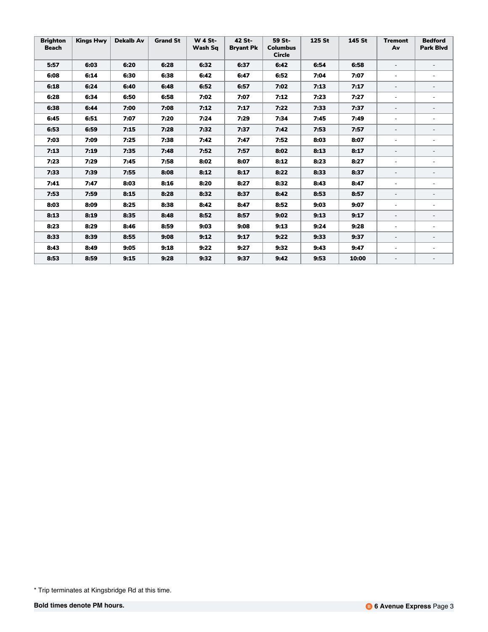| <b>Brighton</b><br><b>Beach</b> | <b>Kings Hwy</b> | <b>Dekalb Av</b> | <b>Grand St</b> | <b>W 4 St-</b><br>Wash Sq | 42 St-<br><b>Bryant Pk</b> | 59 St-<br><b>Columbus</b><br><b>Circle</b> | 125 St | 145 St | <b>Tremont</b><br>Av     | <b>Bedford</b><br><b>Park Blvd</b> |
|---------------------------------|------------------|------------------|-----------------|---------------------------|----------------------------|--------------------------------------------|--------|--------|--------------------------|------------------------------------|
| 5:57                            | 6:03             | 6:20             | 6:28            | 6:32                      | 6:37                       | 6:42                                       | 6:54   | 6:58   | $\blacksquare$           |                                    |
| 6:08                            | 6:14             | 6:30             | 6:38            | 6:42                      | 6:47                       | 6:52                                       | 7:04   | 7:07   | $\overline{\phantom{a}}$ |                                    |
| 6:18                            | 6:24             | 6:40             | 6:48            | 6:52                      | 6:57                       | 7:02                                       | 7:13   | 7:17   | $\overline{\phantom{a}}$ | $\qquad \qquad \blacksquare$       |
| 6:28                            | 6:34             | 6:50             | 6:58            | 7:02                      | 7:07                       | 7:12                                       | 7:23   | 7:27   | $\blacksquare$           | $\blacksquare$                     |
| 6:38                            | 6:44             | 7:00             | 7:08            | 7:12                      | 7:17                       | 7:22                                       | 7:33   | 7:37   | $\equiv$                 | $\overline{\phantom{a}}$           |
| 6:45                            | 6:51             | 7:07             | 7:20            | 7:24                      | 7:29                       | 7:34                                       | 7:45   | 7:49   | $\overline{a}$           | $\equiv$                           |
| 6:53                            | 6:59             | 7:15             | 7:28            | 7:32                      | 7:37                       | 7:42                                       | 7:53   | 7:57   | $\overline{\phantom{a}}$ | $\overline{\phantom{a}}$           |
| 7:03                            | 7:09             | 7:25             | 7:38            | 7:42                      | 7:47                       | 7:52                                       | 8:03   | 8:07   | $\blacksquare$           | $\equiv$                           |
| 7:13                            | 7:19             | 7:35             | 7:48            | 7:52                      | 7:57                       | 8:02                                       | 8:13   | 8:17   | $\overline{\phantom{a}}$ | $\overline{a}$                     |
| 7:23                            | 7:29             | 7:45             | 7:58            | 8:02                      | 8:07                       | 8:12                                       | 8:23   | 8:27   | $\blacksquare$           | ۰                                  |
| 7:33                            | 7:39             | 7:55             | 8:08            | 8:12                      | 8:17                       | 8:22                                       | 8:33   | 8:37   | $\overline{\phantom{a}}$ | $\overline{\phantom{a}}$           |
| 7:41                            | 7:47             | 8:03             | 8:16            | 8:20                      | 8:27                       | 8:32                                       | 8:43   | 8:47   | $\blacksquare$           |                                    |
| 7:53                            | 7:59             | 8:15             | 8:28            | 8:32                      | 8:37                       | 8:42                                       | 8:53   | 8:57   | $\overline{\phantom{a}}$ | $\overline{\phantom{a}}$           |
| 8:03                            | 8:09             | 8:25             | 8:38            | 8:42                      | 8:47                       | 8:52                                       | 9:03   | 9:07   | $\blacksquare$           | $\blacksquare$                     |
| 8:13                            | 8:19             | 8:35             | 8:48            | 8:52                      | 8:57                       | 9:02                                       | 9:13   | 9:17   | $\overline{\phantom{a}}$ | $\qquad \qquad \blacksquare$       |
| 8:23                            | 8:29             | 8:46             | 8:59            | 9:03                      | 9:08                       | 9:13                                       | 9:24   | 9:28   | $\blacksquare$           | $\blacksquare$                     |
| 8:33                            | 8:39             | 8:55             | 9:08            | 9:12                      | 9:17                       | 9:22                                       | 9:33   | 9:37   | $\overline{\phantom{a}}$ | $\overline{\phantom{a}}$           |
| 8:43                            | 8:49             | 9:05             | 9:18            | 9:22                      | 9:27                       | 9:32                                       | 9:43   | 9:47   | $\overline{\phantom{a}}$ | ۰                                  |
| 8:53                            | 8:59             | 9:15             | 9:28            | 9:32                      | 9:37                       | 9:42                                       | 9:53   | 10:00  | $\overline{\phantom{0}}$ | $\overline{\phantom{a}}$           |

<sup>\*</sup> Trip terminates at Kingsbridge Rd at this time.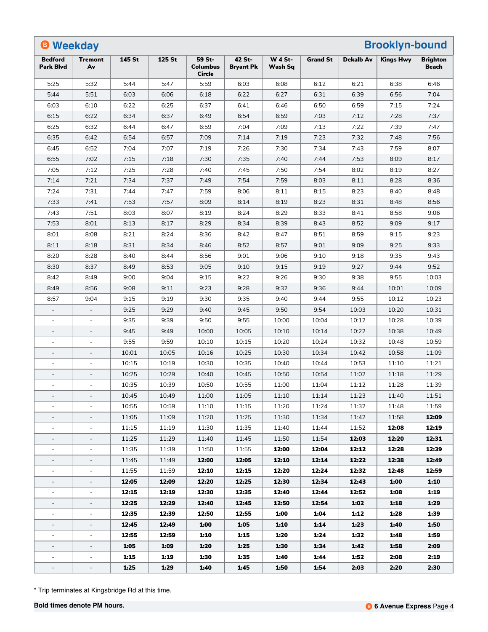| <b>B</b> Weekday<br><b>Brooklyn-bound</b> |                          |        |        |                                            |                            |                           |                 |                  |                  |                                 |
|-------------------------------------------|--------------------------|--------|--------|--------------------------------------------|----------------------------|---------------------------|-----------------|------------------|------------------|---------------------------------|
| <b>Bedford</b><br><b>Park Blvd</b>        | <b>Tremont</b><br>Av     | 145 St | 125 St | 59 St-<br><b>Columbus</b><br><b>Circle</b> | 42 St-<br><b>Bryant Pk</b> | <b>W 4 St-</b><br>Wash Sq | <b>Grand St</b> | <b>Dekalb Av</b> | <b>Kings Hwy</b> | <b>Brighton</b><br><b>Beach</b> |
| 5:25                                      | 5:32                     | 5:44   | 5:47   | 5:59                                       | 6:03                       | 6:08                      | 6:12            | 6:21             | 6:38             | 6:46                            |
| 5:44                                      | 5:51                     | 6:03   | 6:06   | 6:18                                       | 6:22                       | 6:27                      | 6:31            | 6:39             | 6:56             | 7:04                            |
| 6:03                                      | 6:10                     | 6:22   | 6:25   | 6:37                                       | 6:41                       | 6:46                      | 6:50            | 6:59             | 7:15             | 7:24                            |
| 6:15                                      | 6:22                     | 6:34   | 6:37   | 6:49                                       | 6:54                       | 6:59                      | 7:03            | 7:12             | 7:28             | 7:37                            |
| 6:25                                      | 6:32                     | 6:44   | 6:47   | 6:59                                       | 7:04                       | 7:09                      | 7:13            | 7:22             | 7:39             | 7:47                            |
| 6:35                                      | 6:42                     | 6:54   | 6:57   | 7:09                                       | 7:14                       | 7:19                      | 7:23            | 7:32             | 7:48             | 7:56                            |
| 6:45                                      | 6:52                     | 7:04   | 7:07   | 7:19                                       | 7:26                       | 7:30                      | 7:34            | 7:43             | 7:59             | 8:07                            |
| 6:55                                      | 7:02                     | 7:15   | 7:18   | 7:30                                       | 7:35                       | 7:40                      | 7:44            | 7:53             | 8:09             | 8:17                            |
| 7:05                                      | 7:12                     | 7:25   | 7:28   | 7:40                                       | 7:45                       | 7:50                      | 7:54            | 8:02             | 8:19             | 8:27                            |
| 7:14                                      | 7:21                     | 7:34   | 7:37   | 7:49                                       | 7:54                       | 7:59                      | 8:03            | 8:11             | 8:28             | 8:36                            |
| 7:24                                      | 7:31                     | 7:44   | 7:47   | 7:59                                       | 8:06                       | 8:11                      | 8:15            | 8:23             | 8:40             | 8:48                            |
| 7:33                                      | 7:41                     | 7:53   | 7:57   | 8:09                                       | 8:14                       | 8:19                      | 8:23            | 8:31             | 8:48             | 8:56                            |
| 7:43                                      | 7:51                     | 8:03   | 8:07   | 8:19                                       | 8:24                       | 8:29                      | 8:33            | 8:41             | 8:58             | 9:06                            |
| 7:53                                      | 8:01                     | 8:13   | 8:17   | 8:29                                       | 8:34                       | 8:39                      | 8:43            | 8:52             | 9:09             | 9:17                            |
| 8:01                                      | 8:08                     | 8:21   | 8:24   | 8:36                                       | 8:42                       | 8:47                      | 8:51            | 8:59             | 9:15             | 9:23                            |
| 8:11                                      | 8:18                     | 8:31   | 8:34   | 8:46                                       | 8:52                       | 8:57                      | 9:01            | 9:09             | 9:25             | 9:33                            |
| 8:20                                      | 8:28                     | 8:40   | 8:44   | 8:56                                       | 9:01                       | 9:06                      | 9:10            | 9:18             | 9:35             | 9:43                            |
| 8:30                                      | 8:37                     | 8:49   | 8:53   | 9:05                                       | 9:10                       | 9:15                      | 9:19            | 9:27             | 9:44             | 9:52                            |
| 8:42                                      | 8:49                     | 9:00   | 9:04   | 9:15                                       | 9:22                       | 9:26                      | 9:30            | 9:38             | 9:55             | 10:03                           |
| 8:49                                      | 8:56                     | 9:08   | 9:11   | 9:23                                       | 9:28                       | 9:32                      | 9:36            | 9:44             | 10:01            | 10:09                           |
| 8:57                                      | 9:04                     | 9:15   | 9:19   | 9:30                                       | 9:35                       | 9:40                      | 9:44            | 9:55             | 10:12            | 10:23                           |
| $\overline{\phantom{a}}$                  |                          | 9:25   | 9:29   | 9:40                                       | 9:45                       | 9:50                      | 9:54            | 10:03            | 10:20            | 10:31                           |
| $\overline{\phantom{a}}$                  |                          | 9:35   | 9:39   | 9:50                                       | 9:55                       | 10:00                     | 10:04           | 10:12            | 10:28            | 10:39                           |
| $\sim$                                    | $\blacksquare$           | 9:45   | 9:49   | 10:00                                      | 10:05                      | 10:10                     | 10:14           | 10:22            | 10:38            | 10:49                           |
|                                           |                          | 9:55   | 9:59   | 10:10                                      | 10:15                      | 10:20                     | 10:24           | 10:32            | 10:48            | 10:59                           |
| $\sim$                                    | $\overline{a}$           | 10:01  | 10:05  | 10:16                                      | 10:25                      | 10:30                     | 10:34           | 10:42            | 10:58            | 11:09                           |
|                                           | $\overline{a}$           | 10:15  | 10:19  | 10:30                                      | 10:35                      | 10:40                     | 10:44           | 10:53            | 11:10            | 11:21                           |
| $\sim$                                    | $\overline{\phantom{a}}$ | 10:25  | 10:29  | 10:40                                      | 10:45                      | 10:50                     | 10:54           | 11:02            | 11:18            | 11:29                           |
|                                           | $\overline{\phantom{a}}$ | 10:35  | 10:39  | 10:50                                      | 10:55                      | 11:00                     | 11:04           | 11:12            | 11:28            | 11:39                           |
|                                           |                          | 10:45  | 10:49  | 11:00                                      | 11:05                      | 11:10                     | 11:14           | 11:23            | 11:40            | 11:51                           |
|                                           | $\overline{\phantom{a}}$ | 10:55  | 10:59  | 11:10                                      | 11:15                      | 11:20                     | 11:24           | 11:32            | 11:48            | 11:59                           |
| $\overline{\phantom{a}}$                  | $\overline{\phantom{a}}$ | 11:05  | 11:09  | 11:20                                      | 11:25                      | 11:30                     | 11:34           | 11:42            | 11:58            | 12:09                           |
| $\blacksquare$                            | $\overline{\phantom{a}}$ | 11:15  | 11:19  | 11:30                                      | 11:35                      | 11:40                     | 11:44           | 11:52            | 12:08            | 12:19                           |
|                                           |                          | 11:25  | 11:29  | 11:40                                      | 11:45                      | 11:50                     | 11:54           | 12:03            | 12:20            | 12:31                           |
| $\blacksquare$                            | $\blacksquare$           | 11:35  | 11:39  | 11:50                                      | 11:55                      | 12:00                     | 12:04           | 12:12            | 12:28            | 12:39                           |
| $\overline{\phantom{a}}$                  | $\overline{\phantom{a}}$ | 11:45  | 11:49  | 12:00                                      | 12:05                      | 12:10                     | 12:14           | 12:22            | 12:38            | 12:49                           |
| $\blacksquare$                            | $\blacksquare$           | 11:55  | 11:59  | 12:10                                      | 12:15                      | 12:20                     | 12:24           | 12:32            | 12:48            | 12:59                           |
| $\overline{\phantom{a}}$                  | -                        | 12:05  | 12:09  | 12:20                                      | 12:25                      | 12:30                     | 12:34           | 12:43            | 1:00             | 1:10                            |
| $\blacksquare$                            | $\overline{\phantom{a}}$ | 12:15  | 12:19  | 12:30                                      | 12:35                      | 12:40                     | 12:44           | 12:52            | 1:08             | 1:19                            |
| $\overline{\phantom{a}}$                  | $\overline{\phantom{a}}$ | 12:25  | 12:29  | 12:40                                      | 12:45                      | 12:50                     | 12:54           | 1:02             | 1:18             | 1:29                            |
| $\blacksquare$                            | $\overline{\phantom{a}}$ | 12:35  | 12:39  | 12:50                                      | 12:55                      | 1:00                      | 1:04            | 1:12             | 1:28             | 1:39                            |
| $\overline{\phantom{a}}$                  | $\overline{\phantom{a}}$ | 12:45  | 12:49  | 1:00                                       | 1:05                       | 1:10                      | 1:14            | 1:23             | 1:40             | 1:50                            |
| $\overline{\phantom{a}}$                  | $\blacksquare$           | 12:55  | 12:59  | 1:10                                       | 1:15                       | 1:20                      | 1:24            | 1:32             | 1:48             | 1:59                            |
| $\overline{\phantom{a}}$                  | $\overline{\phantom{a}}$ | 1:05   | 1:09   | 1:20                                       | 1:25                       | 1:30                      | 1:34            | 1:42             | 1:58             | 2:09                            |
|                                           |                          | 1:15   | 1:19   | 1:30                                       | 1:35                       | 1:40                      | 1:44            | 1:52             | 2:08             | 2:19                            |
| $\overline{\phantom{a}}$                  | $\overline{\phantom{a}}$ | 1:25   | 1:29   | 1:40                                       | 1:45                       | 1:50                      | 1:54            | 2:03             | 2:20             | 2:30                            |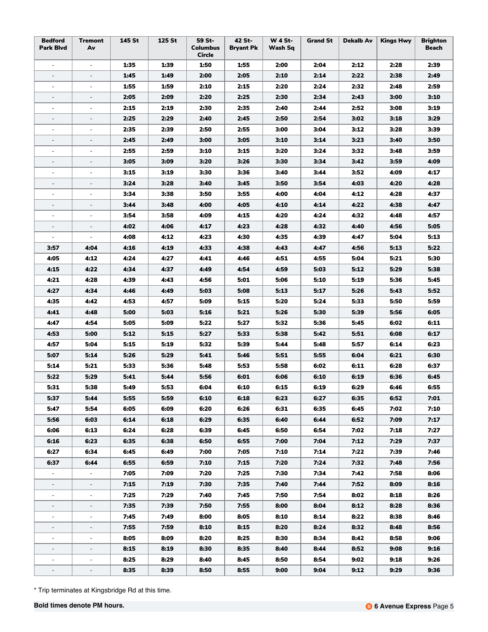| <b>Bedford</b><br><b>Park Blvd</b> | <b>Tremont</b><br>Av     | 145 St | 125 St | 59 St-<br><b>Columbus</b><br>Circle | 42 St-<br><b>Bryant Pk</b> | <b>W 4 St-</b><br>Wash Sq | <b>Grand St</b> | Dekalb Av | <b>Kings Hwy</b> | <b>Brighton</b><br>Beach |
|------------------------------------|--------------------------|--------|--------|-------------------------------------|----------------------------|---------------------------|-----------------|-----------|------------------|--------------------------|
| $\blacksquare$                     | $\overline{\phantom{a}}$ | 1:35   | 1:39   | 1:50                                | 1:55                       | 2:00                      | 2:04            | 2:12      | 2:28             | 2:39                     |
| $\overline{\phantom{a}}$           | $\overline{\phantom{a}}$ | 1:45   | 1:49   | 2:00                                | 2:05                       | 2:10                      | 2:14            | 2:22      | 2:38             | 2:49                     |
| $\omega$                           | $\overline{\phantom{a}}$ | 1:55   | 1:59   | 2:10                                | 2:15                       | 2:20                      | 2:24            | 2:32      | 2:48             | 2:59                     |
|                                    |                          | 2:05   | 2:09   | 2:20                                | 2:25                       | 2:30                      | 2:34            | 2:43      | 3:00             | 3:10                     |
| $\overline{\phantom{a}}$           | $\overline{\phantom{a}}$ | 2:15   | 2:19   | 2:30                                | 2:35                       | 2:40                      | 2:44            | 2:52      | 3:08             | 3:19                     |
| $\overline{\phantom{a}}$           | $\overline{\phantom{a}}$ | 2:25   | 2:29   | 2:40                                | 2:45                       | 2:50                      | 2:54            | 3:02      | 3:18             | 3:29                     |
| $\sim$                             |                          | 2:35   | 2:39   | 2:50                                | 2:55                       | 3:00                      | 3:04            | 3:12      | 3:28             | 3:39                     |
|                                    | $\overline{\phantom{a}}$ | 2:45   | 2:49   | 3:00                                | 3:05                       | 3:10                      | 3:14            | 3:23      | 3:40             | 3:50                     |
| $\overline{\phantom{a}}$           | $\overline{\phantom{a}}$ | 2:55   | 2:59   | 3:10                                | 3:15                       | 3:20                      | 3:24            | 3:32      | 3:48             | 3:59                     |
| $\overline{\phantom{a}}$           | $\overline{\phantom{a}}$ | 3:05   | 3:09   | 3:20                                | 3:26                       | 3:30                      | 3:34            | 3:42      | 3:59             | 4:09                     |
|                                    | $\overline{\phantom{a}}$ | 3:15   | 3:19   | 3:30                                | 3:36                       | 3:40                      | 3:44            | 3:52      | 4:09             | 4:17                     |
|                                    | $\blacksquare$           | 3:24   | 3:28   | 3:40                                | 3:45                       | 3:50                      | 3:54            | 4:03      | 4:20             | 4:28                     |
| $\overline{\phantom{a}}$           | $\overline{\phantom{a}}$ | 3:34   | 3:38   | 3:50                                | 3:55                       | 4:00                      | 4:04            | 4:12      | 4:28             | 4:37                     |
| $\overline{\phantom{a}}$           | $\overline{\phantom{a}}$ | 3:44   | 3:48   | 4:00                                | 4:05                       | 4:10                      | 4:14            | 4:22      | 4:38             | 4:47                     |
|                                    |                          | 3:54   | 3:58   | 4:09                                | 4:15                       | 4:20                      | 4:24            | 4:32      | 4:48             | 4:57                     |
|                                    |                          | 4:02   | 4:06   | 4:17                                | 4:23                       | 4:28                      | 4:32            | 4:40      | 4:56             | 5:05                     |
| $\overline{\phantom{a}}$           | $\overline{\phantom{a}}$ | 4:08   | 4:12   | 4:23                                | 4:30                       | 4:35                      | 4:39            | 4:47      | 5:04             | 5:13                     |
| 3:57                               | 4:04                     | 4:16   | 4:19   | 4:33                                | 4:38                       | 4:43                      | 4:47            | 4:56      | 5:13             | 5:22                     |
| 4:05                               | 4:12                     | 4:24   | 4:27   | 4:41                                | 4:46                       | 4:51                      | 4:55            | 5:04      | 5:21             | 5:30                     |
| 4:15                               | 4:22                     | 4:34   | 4:37   | 4:49                                | 4:54                       | 4:59                      | 5:03            | 5:12      | 5:29             | 5:38                     |
| 4:21                               | 4:28                     | 4:39   | 4:43   | 4:56                                | 5:01                       | 5:06                      | 5:10            | 5:19      | 5:36             | 5:45                     |
| 4:27                               | 4:34                     | 4:46   | 4:49   | 5:03                                | 5:08                       | 5:13                      | 5:17            | 5:26      | 5:43             | 5:52                     |
| 4:35                               | 4:42                     | 4:53   | 4:57   | 5:09                                | 5:15                       | 5:20                      | 5:24            | 5:33      | 5:50             | 5:59                     |
| 4:41                               | 4:48                     | 5:00   | 5:03   | 5:16                                | 5:21                       | 5:26                      | 5:30            | 5:39      | 5:56             | 6:05                     |
| 4:47                               | 4:54                     | 5:05   | 5:09   | 5:22                                | 5:27                       | 5:32                      | 5:36            | 5:45      | 6:02             | 6:11                     |
| 4:53                               | 5:00                     | 5:12   | 5:15   | 5:27                                | 5:33                       | 5:38                      | 5:42            | 5:51      | 6:08             | 6:17                     |
| 4:57                               | 5:04                     | 5:15   | 5:19   | 5:32                                | 5:39                       | 5:44                      | 5:48            | 5:57      | 6:14             | 6:23                     |
| 5:07                               | 5:14                     | 5:26   | 5:29   | 5:41                                | 5:46                       | 5:51                      | 5:55            | 6:04      | 6:21             | 6:30                     |
| 5:14                               | 5:21                     | 5:33   | 5:36   | 5:48                                | 5:53                       | 5:58                      | 6:02            | 6:11      | 6:28             | 6:37                     |
| 5:22                               | 5:29                     | 5:41   | 5:44   | 5:56                                | 6:01                       | 6:06                      | 6:10            | 6:19      | 6:36             | 6:45                     |
| 5:31                               | 5:38                     | 5:49   | 5:53   | 6:04                                | 6:10                       | 6:15                      | 6:19            | 6:29      | 6:46             | 6:55                     |
| 5:37                               | 5:44                     | 5:55   | 5:59   | 6:10                                | 6:18                       | 6:23                      | 6:27            | 6:35      | 6:52             | 7:01                     |
| 5:47                               | 5:54                     | 6:05   | 6:09   | 6:20                                | 6:26                       | 6:31                      | 6:35            | 6:45      | 7:02             | 7:10                     |
| 5:56                               | 6:03                     | 6:14   | 6:18   | 6:29                                | 6:35                       | 6:40                      | 6:44            | 6:52      | 7:09             | 7:17                     |
| 6:06                               | 6:13                     | 6:24   | 6:28   | 6:39                                | 6:45                       | 6:50                      | 6:54            | 7:02      | 7:18             | 7:27                     |
| 6:16                               | 6:23                     | 6:35   | 6:38   | 6:50                                | 6:55                       | 7:00                      | 7:04            | 7:12      | 7:29             | 7:37                     |
| 6:27                               | 6:34                     | 6:45   | 6:49   | 7:00                                | 7:05                       | 7:10                      | 7:14            | 7:22      | 7:39             | 7:46                     |
| 6:37                               | 6:44                     | 6:55   | 6:59   | 7:10                                | 7:15                       | 7:20                      | 7:24            | 7:32      | 7:48             | 7:56                     |
| $\blacksquare$                     | $\blacksquare$           | 7:05   | 7:09   | 7:20                                | 7:25                       | 7:30                      | 7:34            | 7:42      | 7:58             | 8:06                     |
|                                    |                          | 7:15   | 7:19   | 7:30                                | 7:35                       | 7:40                      | 7:44            | 7:52      | 8:09             | 8:16                     |
| $\overline{\phantom{a}}$           | $\blacksquare$           | 7:25   | 7:29   | 7:40                                | 7:45                       | 7:50                      | 7:54            | 8:02      | 8:18             | 8:26                     |
| $\overline{\phantom{a}}$           | ÷                        | 7:35   | 7:39   | 7:50                                | 7:55                       | 8:00                      | 8:04            | 8:12      | 8:28             | 8:36                     |
| $\overline{\phantom{a}}$           | $\blacksquare$           | 7:45   | 7:49   | 8:00                                | 8:05                       | 8:10                      | 8:14            | 8:22      | 8:38             | 8:46                     |
| $\overline{\phantom{a}}$           | $\overline{\phantom{a}}$ | 7:55   | 7:59   | 8:10                                | 8:15                       | 8:20                      | 8:24            | 8:32      | 8:48             | 8:56                     |
| $\overline{\phantom{a}}$           | $\overline{\phantom{a}}$ | 8:05   | 8:09   | 8:20                                | 8:25                       | 8:30                      | 8:34            | 8:42      | 8:58             | 9:06                     |
| $\overline{\phantom{a}}$           | $\overline{\phantom{a}}$ | 8:15   | 8:19   | 8:30                                | 8:35                       | 8:40                      | 8:44            | 8:52      | 9:08             | 9:16                     |
| $\overline{\phantom{a}}$           | $\overline{\phantom{a}}$ | 8:25   | 8:29   | 8:40                                | 8:45                       | 8:50                      | 8:54            | 9:02      | 9:18             | 9:26                     |
| $\overline{\phantom{a}}$           | -                        | 8:35   | 8:39   | 8:50                                | 8:55                       | 9:00                      | 9:04            | 9:12      | 9:29             | 9:36                     |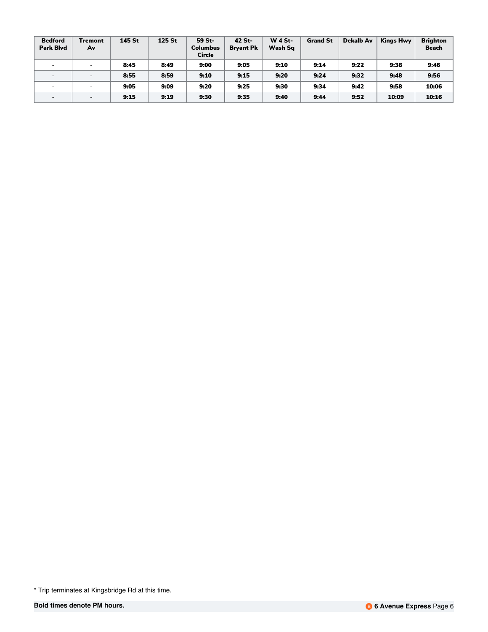| <b>Bedford</b><br><b>Park Blvd</b> | <b>Tremont</b><br>Av     | 145 St | 125 St | 59 St-<br>Columbus<br><b>Circle</b> | 42 St-<br><b>Brvant Pk</b> | <b>W 4 St-</b><br>Wash Sq | <b>Grand St</b> | Dekalb Av | <b>Kings Hwy</b> | <b>Brighton</b><br><b>Beach</b> |
|------------------------------------|--------------------------|--------|--------|-------------------------------------|----------------------------|---------------------------|-----------------|-----------|------------------|---------------------------------|
| $\sim$                             | $\overline{\phantom{0}}$ | 8:45   | 8:49   | 9:00                                | 9:05                       | 9:10                      | 9:14            | 9:22      | 9:38             | 9:46                            |
| $\overline{\phantom{0}}$           | $\overline{\phantom{0}}$ | 8:55   | 8:59   | 9:10                                | 9:15                       | 9:20                      | 9:24            | 9:32      | 9:48             | 9:56                            |
| $\overline{\phantom{0}}$           | $\overline{\phantom{0}}$ | 9:05   | 9:09   | 9:20                                | 9:25                       | 9:30                      | 9:34            | 9:42      | 9:58             | 10:06                           |
| $\overline{\phantom{a}}$           | $\overline{\phantom{a}}$ | 9:15   | 9:19   | 9:30                                | 9:35                       | 9:40                      | 9:44            | 9:52      | 10:09            | 10:16                           |

<sup>\*</sup> Trip terminates at Kingsbridge Rd at this time.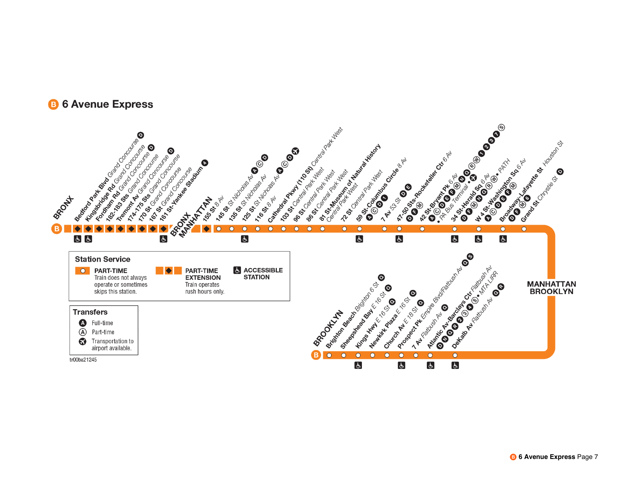